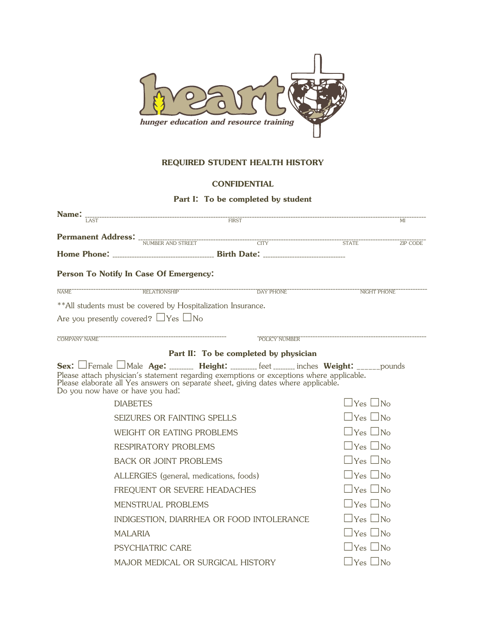

## **REQUIRED STUDENT HEALTH HISTORY**

## **CONFIDENTIAL**

## **Part I: To be completed by student**

| Name:                                           |                                                                                                                                                                                |  | MI                                                                                       |  |  |  |  |  |  |
|-------------------------------------------------|--------------------------------------------------------------------------------------------------------------------------------------------------------------------------------|--|------------------------------------------------------------------------------------------|--|--|--|--|--|--|
|                                                 |                                                                                                                                                                                |  |                                                                                          |  |  |  |  |  |  |
|                                                 |                                                                                                                                                                                |  |                                                                                          |  |  |  |  |  |  |
|                                                 |                                                                                                                                                                                |  |                                                                                          |  |  |  |  |  |  |
|                                                 | Person To Notify In Case Of Emergency:                                                                                                                                         |  |                                                                                          |  |  |  |  |  |  |
| NAME <sup>®</sup>                               |                                                                                                                                                                                |  |                                                                                          |  |  |  |  |  |  |
|                                                 | ** All students must be covered by Hospitalization Insurance.                                                                                                                  |  |                                                                                          |  |  |  |  |  |  |
| Are you presently covered? $\Box$ Yes $\Box$ No |                                                                                                                                                                                |  |                                                                                          |  |  |  |  |  |  |
| <b>COMPANY NAME</b>                             |                                                                                                                                                                                |  | POLICY NUMBER ----------------------------                                               |  |  |  |  |  |  |
| Part II: To be completed by physician           |                                                                                                                                                                                |  |                                                                                          |  |  |  |  |  |  |
| Do you now have or have you had:                | Please attach physician's statement regarding exemptions or exceptions where applicable.<br>Please elaborate all Yes answers on separate sheet, giving dates where applicable. |  | Sex: Female Male Age: ________ Height: ________ feet _______ inches Weight: ______pounds |  |  |  |  |  |  |
| <b>DIABETES</b>                                 |                                                                                                                                                                                |  | $\sqcup$ Yes $\sqcup$ No                                                                 |  |  |  |  |  |  |
| SEIZURES OR FAINTING SPELLS                     | $\sqcup$ Yes $\sqcup$ No                                                                                                                                                       |  |                                                                                          |  |  |  |  |  |  |
| WEIGHT OR EATING PROBLEMS                       | $\Box$ Yes $\Box$ No                                                                                                                                                           |  |                                                                                          |  |  |  |  |  |  |
| <b>RESPIRATORY PROBLEMS</b>                     | $\Box$ Yes $\Box$ No                                                                                                                                                           |  |                                                                                          |  |  |  |  |  |  |
| <b>BACK OR JOINT PROBLEMS</b>                   | $\Box$ Yes $\Box$ No                                                                                                                                                           |  |                                                                                          |  |  |  |  |  |  |
| ALLERGIES (general, medications, foods)         | $\sqcup$ Yes $\sqcup$ No                                                                                                                                                       |  |                                                                                          |  |  |  |  |  |  |
| FREQUENT OR SEVERE HEADACHES                    | $\sqcup$ Yes $\sqcup$ No                                                                                                                                                       |  |                                                                                          |  |  |  |  |  |  |
| MENSTRUAL PROBLEMS                              | $\Box$ Yes $\Box$ No                                                                                                                                                           |  |                                                                                          |  |  |  |  |  |  |
| INDIGESTION, DIARRHEA OR FOOD INTOLERANCE       | $\Box$ Yes $\Box$<br>$\overline{N_{\Omega}}$                                                                                                                                   |  |                                                                                          |  |  |  |  |  |  |
| <b>MALARIA</b>                                  | $\Box$ Yes $\Box$<br>$\overline{N_{\Omega}}$                                                                                                                                   |  |                                                                                          |  |  |  |  |  |  |
| <b>PSYCHIATRIC CARE</b>                         | $\Box$ Yes $\Box$ No                                                                                                                                                           |  |                                                                                          |  |  |  |  |  |  |
| MAJOR MEDICAL OR SURGICAL HISTORY               | $\Box$ Yes $\Box$ No                                                                                                                                                           |  |                                                                                          |  |  |  |  |  |  |